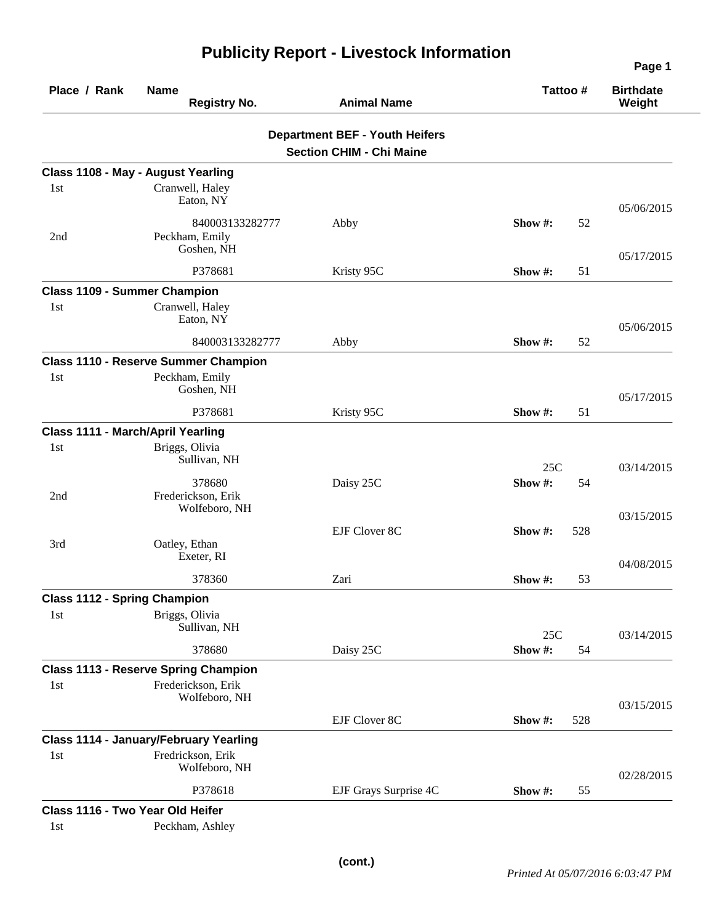| Place / Rank                             | <b>Name</b><br><b>Registry No.</b>              | <b>Animal Name</b>                                                       | Tattoo#          | <b>Birthdate</b><br>Weight |
|------------------------------------------|-------------------------------------------------|--------------------------------------------------------------------------|------------------|----------------------------|
|                                          |                                                 | <b>Department BEF - Youth Heifers</b><br><b>Section CHIM - Chi Maine</b> |                  |                            |
|                                          | Class 1108 - May - August Yearling              |                                                                          |                  |                            |
| 1st                                      | Cranwell, Haley<br>Eaton, NY                    |                                                                          |                  | 05/06/2015                 |
| 2nd                                      | 840003133282777<br>Peckham, Emily<br>Goshen, NH | Abby                                                                     | Show #:<br>52    |                            |
|                                          | P378681                                         | Kristy 95C                                                               | Show #:<br>51    | 05/17/2015                 |
| <b>Class 1109 - Summer Champion</b>      |                                                 |                                                                          |                  |                            |
| 1 <sub>st</sub>                          | Cranwell, Haley<br>Eaton, NY                    |                                                                          |                  | 05/06/2015                 |
|                                          | 840003133282777                                 | Abby                                                                     | Show #:<br>52    |                            |
|                                          | <b>Class 1110 - Reserve Summer Champion</b>     |                                                                          |                  |                            |
| 1st                                      | Peckham, Emily<br>Goshen, NH                    |                                                                          |                  | 05/17/2015                 |
|                                          | P378681                                         | Kristy 95C                                                               | 51<br>Show #:    |                            |
| <b>Class 1111 - March/April Yearling</b> |                                                 |                                                                          |                  |                            |
| 1st                                      | Briggs, Olivia<br>Sullivan, NH                  |                                                                          | 25C              | 03/14/2015                 |
| 2nd                                      | 378680<br>Frederickson, Erik<br>Wolfeboro, NH   | Daisy 25C                                                                | Show #:<br>54    |                            |
|                                          |                                                 | EJF Clover 8C                                                            | 528<br>Show #:   | 03/15/2015                 |
| 3rd                                      | Oatley, Ethan<br>Exeter, RI                     |                                                                          |                  | 04/08/2015                 |
|                                          | 378360                                          | Zari                                                                     | Show #:<br>53    |                            |
| <b>Class 1112 - Spring Champion</b>      |                                                 |                                                                          |                  |                            |
| 1st                                      | Briggs, Olivia<br>Sullivan, NH                  |                                                                          | 25C              | 03/14/2015                 |
|                                          | 378680                                          | Daisy 25C                                                                | Show #:<br>54    |                            |
|                                          | <b>Class 1113 - Reserve Spring Champion</b>     |                                                                          |                  |                            |
| 1st                                      | Frederickson, Erik<br>Wolfeboro, NH             |                                                                          |                  | 03/15/2015                 |
|                                          |                                                 | EJF Clover 8C                                                            | Show #:<br>528   |                            |
|                                          | <b>Class 1114 - January/February Yearling</b>   |                                                                          |                  |                            |
| 1st                                      | Fredrickson, Erik<br>Wolfeboro, NH              |                                                                          |                  | 02/28/2015                 |
|                                          | P378618                                         | EJF Grays Surprise 4C                                                    | Show $#$ :<br>55 |                            |
| Class 1116 - Two Year Old Heifer         |                                                 |                                                                          |                  |                            |
| 1st                                      | Peckham, Ashley                                 |                                                                          |                  |                            |

## **Publicity Report - Livestock Information**

**Page 1**

 $\overline{\phantom{0}}$